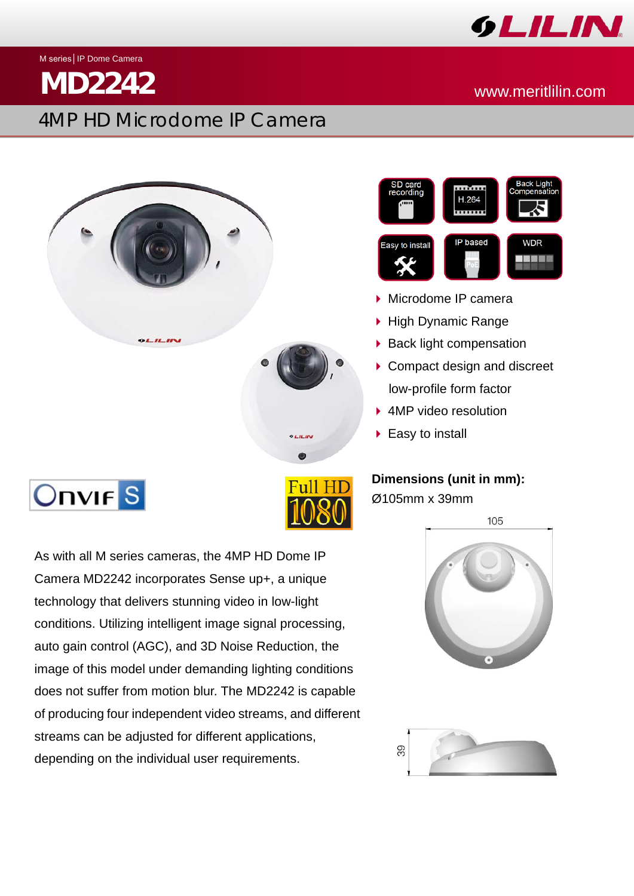

M series│IP Dome Camera

## 4MP HD Microdome IP Camera

## **MD2242** www.meritlilin.com





- Microdome IP camera
- ▶ High Dynamic Range
- $\triangleright$  Back light compensation
- ▶ Compact design and discreet low-profile form factor
- ▶ 4MP video resolution
- ▶ Easy to install

## **Dimensions (unit in mm):**

Ø105mm x 39mm

105





# **Onvir** S

As with all M series cameras, the 4MP HD Dome IP Camera MD2242 incorporates Sense up+, a unique technology that delivers stunning video in low-light conditions. Utilizing intelligent image signal processing, auto gain control (AGC), and 3D Noise Reduction, the image of this model under demanding lighting conditions does not suffer from motion blur. The MD2242 is capable of producing four independent video streams, and different streams can be adjusted for different applications, depending on the individual user requirements.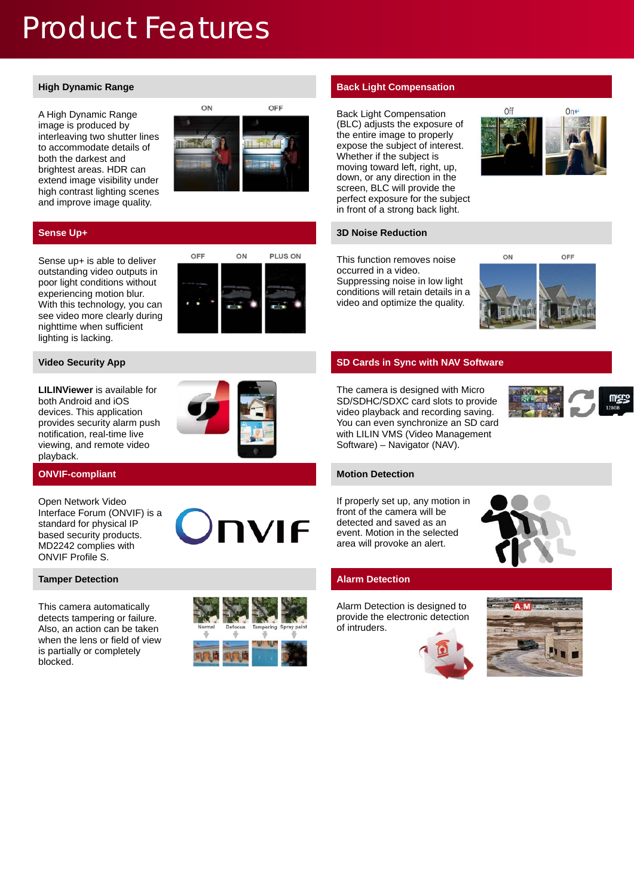## Product Features

A High Dynamic Range image is produced by interleaving two shutter lines to accommodate details of both the darkest and brightest areas. HDR can extend image visibility under high contrast lighting scenes and improve image quality.



Sense up+ is able to deliver outstanding video outputs in poor light conditions without experiencing motion blur. With this technology, you can see video more clearly during nighttime when sufficient lighting is lacking.



**LILINViewer** is available for both Android and iOS devices. This application provides security alarm push notification, real-time live viewing, and remote video playback.



Open Network Video Interface Forum (ONVIF) is a standard for physical IP based security products. MD2242 complies with ONVIF Profile S.

This camera automatically detects tampering or failure. Also, an action can be taken when the lens or field of view is partially or completely blocked.



**IVIF** 

### **High Dynamic Range <b>Back Light Compensation**

Back Light Compensation (BLC) adjusts the exposure of the entire image to properly expose the subject of interest. Whether if the subject is moving toward left, right, up, down, or any direction in the screen, BLC will provide the perfect exposure for the subject in front of a strong back light.



### **Sense Up+ 3D Noise Reduction**

This function removes noise occurred in a video. Suppressing noise in low light conditions will retain details in a video and optimize the quality.



### **Video Security App SD Cards in Sync with NAV Software**

The camera is designed with Micro SD/SDHC/SDXC card slots to provide video playback and recording saving. You can even synchronize an SD card with LILIN VMS (Video Management Software) – Navigator (NAV).



If properly set up, any motion in front of the camera will be detected and saved as an event. Motion in the selected area will provoke an alert.



Alarm Detection is designed to provide the electronic detection of intruders.